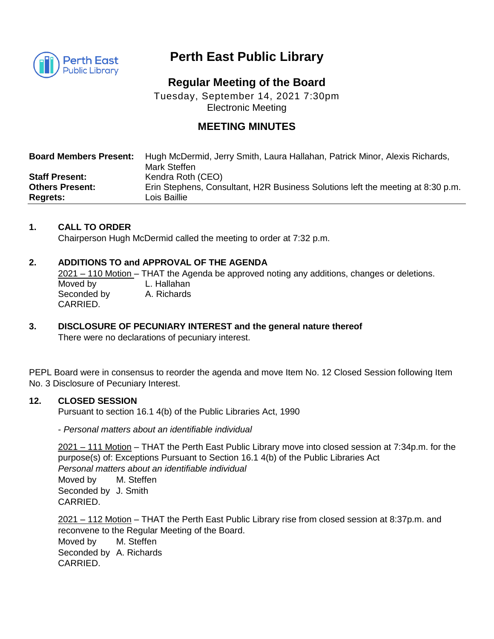

# **Perth East Public Library**

## **Regular Meeting of the Board**

Tuesday, September 14, 2021 7:30pm Electronic Meeting

## **MEETING MINUTES**

| <b>Board Members Present:</b> | Hugh McDermid, Jerry Smith, Laura Hallahan, Patrick Minor, Alexis Richards,<br>Mark Steffen |
|-------------------------------|---------------------------------------------------------------------------------------------|
| <b>Staff Present:</b>         | Kendra Roth (CEO)                                                                           |
| <b>Others Present:</b>        | Erin Stephens, Consultant, H2R Business Solutions left the meeting at 8:30 p.m.             |
| <b>Regrets:</b>               | Lois Baillie                                                                                |

## **1. CALL TO ORDER**

Chairperson Hugh McDermid called the meeting to order at 7:32 p.m.

## **2. ADDITIONS TO and APPROVAL OF THE AGENDA**

2021 – 110 Motion – THAT the Agenda be approved noting any additions, changes or deletions. Moved by L. Hallahan<br>Seconded by A. Richards Seconded by CARRIED.

## **3. DISCLOSURE OF PECUNIARY INTEREST and the general nature thereof**

There were no declarations of pecuniary interest.

PEPL Board were in consensus to reorder the agenda and move Item No. 12 Closed Session following Item No. 3 Disclosure of Pecuniary Interest.

## **12. CLOSED SESSION**

Pursuant to section 16.1 4(b) of the Public Libraries Act, 1990

- *Personal matters about an identifiable individual*

2021 – 111 Motion – THAT the Perth East Public Library move into closed session at 7:34p.m. for the purpose(s) of: Exceptions Pursuant to Section 16.1 4(b) of the Public Libraries Act *Personal matters about an identifiable individual*  Moved by M. Steffen Seconded by J. Smith CARRIED.

2021 – 112 Motion – THAT the Perth East Public Library rise from closed session at 8:37p.m. and reconvene to the Regular Meeting of the Board. Moved by M. Steffen Seconded by A. Richards CARRIED.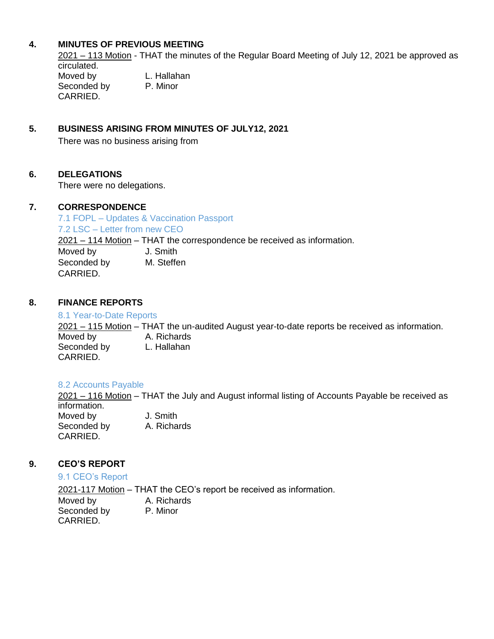## **4. MINUTES OF PREVIOUS MEETING**

2021 – 113 Motion - THAT the minutes of the Regular Board Meeting of July 12, 2021 be approved as circulated. Moved by L. Hallahan Seconded by P. Minor CARRIED.

## **5. BUSINESS ARISING FROM MINUTES OF JULY12, 2021**

There was no business arising from

#### **6. DELEGATIONS**

There were no delegations.

#### **7. CORRESPONDENCE**

7.1 FOPL – Updates & Vaccination Passport 7.2 LSC – Letter from new CEO 2021 – 114 Motion – THAT the correspondence be received as information. Moved by **J. Smith** Seconded by M. Steffen CARRIED.

#### **8. FINANCE REPORTS**

#### 8.1 Year-to-Date Reports

2021 – 115 Motion – THAT the un-audited August year-to-date reports be received as information. Moved by **A. Richards**<br>Seconded by **L. Hallahan** Seconded by CARRIED.

#### 8.2 Accounts Payable

2021 – 116 Motion – THAT the July and August informal listing of Accounts Payable be received as information.

Moved by **J.** Smith Seconded by A. Richards CARRIED.

## **9. CEO'S REPORT**

9.1 CEO's Report

2021-117 Motion – THAT the CEO's report be received as information.

Moved by **A. Richards** Seconded by P. Minor CARRIED.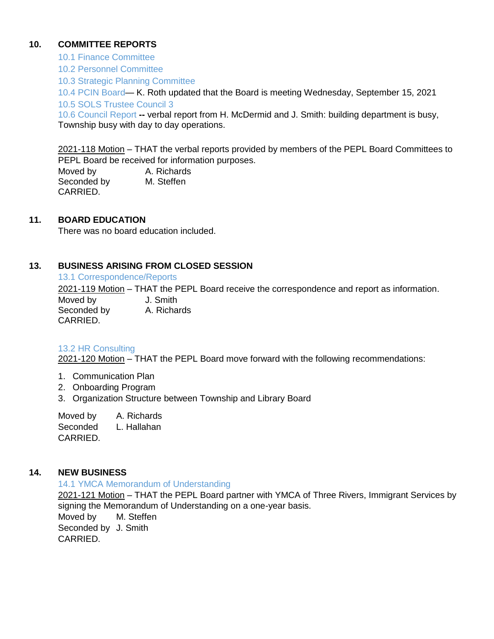## **10. COMMITTEE REPORTS**

10.1 Finance Committee

10.2 Personnel Committee

10.3 Strategic Planning Committee

10.4 PCIN Board— K. Roth updated that the Board is meeting Wednesday, September 15, 2021

10.5 SOLS Trustee Council 3

10.6 Council Report **--** verbal report from H. McDermid and J. Smith: building department is busy, Township busy with day to day operations.

2021-118 Motion – THAT the verbal reports provided by members of the PEPL Board Committees to PEPL Board be received for information purposes.

Moved by **A. Richards** Seconded by M. Steffen CARRIED.

## **11. BOARD EDUCATION**

There was no board education included.

## **13. BUSINESS ARISING FROM CLOSED SESSION**

13.1 Correspondence/Reports

2021-119 Motion – THAT the PEPL Board receive the correspondence and report as information.

Moved by **J. Smith** Seconded by A. Richards CARRIED.

#### 13.2 HR Consulting

2021-120 Motion – THAT the PEPL Board move forward with the following recommendations:

- 1. Communication Plan
- 2. Onboarding Program
- 3. Organization Structure between Township and Library Board

Moved by A. Richards Seconded L. Hallahan CARRIED.

#### **14. NEW BUSINESS**

14.1 YMCA Memorandum of Understanding

2021-121 Motion – THAT the PEPL Board partner with YMCA of Three Rivers, Immigrant Services by signing the Memorandum of Understanding on a one-year basis. Moved by M. Steffen **Manual** Seconded by J. Smith CARRIED.